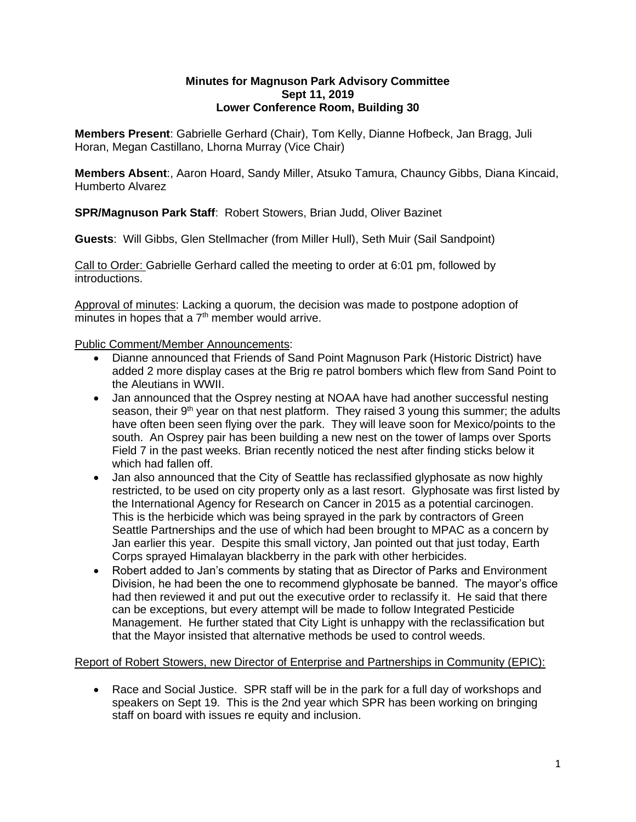#### **Minutes for Magnuson Park Advisory Committee Sept 11, 2019 Lower Conference Room, Building 30**

**Members Present**: Gabrielle Gerhard (Chair), Tom Kelly, Dianne Hofbeck, Jan Bragg, Juli Horan, Megan Castillano, Lhorna Murray (Vice Chair)

**Members Absent**:, Aaron Hoard, Sandy Miller, Atsuko Tamura, Chauncy Gibbs, Diana Kincaid, Humberto Alvarez

**SPR/Magnuson Park Staff**: Robert Stowers, Brian Judd, Oliver Bazinet

**Guests**: Will Gibbs, Glen Stellmacher (from Miller Hull), Seth Muir (Sail Sandpoint)

Call to Order: Gabrielle Gerhard called the meeting to order at 6:01 pm, followed by introductions.

Approval of minutes: Lacking a quorum, the decision was made to postpone adoption of minutes in hopes that a  $7<sup>th</sup>$  member would arrive.

Public Comment/Member Announcements:

- Dianne announced that Friends of Sand Point Magnuson Park (Historic District) have added 2 more display cases at the Brig re patrol bombers which flew from Sand Point to the Aleutians in WWII.
- Jan announced that the Osprey nesting at NOAA have had another successful nesting season, their 9<sup>th</sup> year on that nest platform. They raised 3 young this summer; the adults have often been seen flying over the park. They will leave soon for Mexico/points to the south. An Osprey pair has been building a new nest on the tower of lamps over Sports Field 7 in the past weeks. Brian recently noticed the nest after finding sticks below it which had fallen off.
- Jan also announced that the City of Seattle has reclassified glyphosate as now highly restricted, to be used on city property only as a last resort. Glyphosate was first listed by the International Agency for Research on Cancer in 2015 as a potential carcinogen. This is the herbicide which was being sprayed in the park by contractors of Green Seattle Partnerships and the use of which had been brought to MPAC as a concern by Jan earlier this year. Despite this small victory, Jan pointed out that just today, Earth Corps sprayed Himalayan blackberry in the park with other herbicides.
- Robert added to Jan's comments by stating that as Director of Parks and Environment Division, he had been the one to recommend glyphosate be banned. The mayor's office had then reviewed it and put out the executive order to reclassify it. He said that there can be exceptions, but every attempt will be made to follow Integrated Pesticide Management. He further stated that City Light is unhappy with the reclassification but that the Mayor insisted that alternative methods be used to control weeds.

#### Report of Robert Stowers, new Director of Enterprise and Partnerships in Community (EPIC):

• Race and Social Justice. SPR staff will be in the park for a full day of workshops and speakers on Sept 19. This is the 2nd year which SPR has been working on bringing staff on board with issues re equity and inclusion.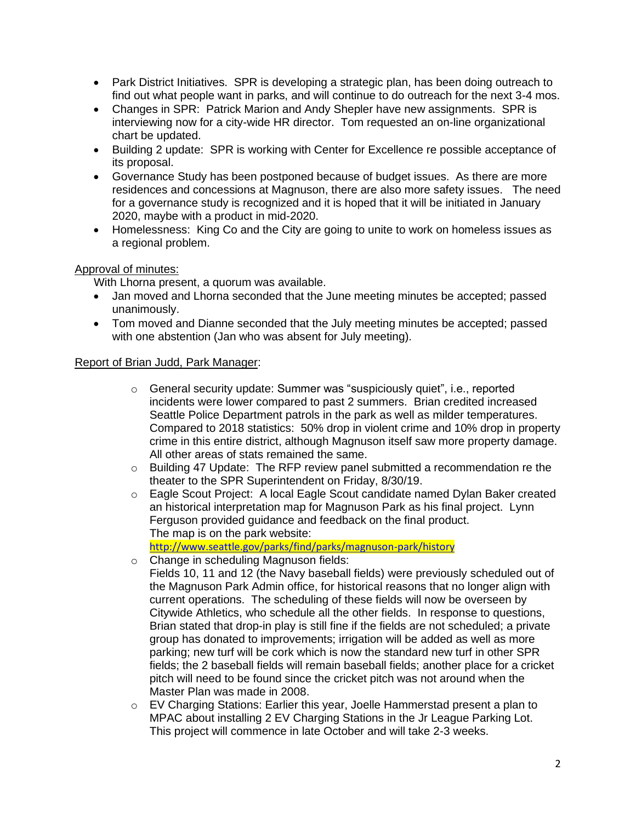- Park District Initiatives. SPR is developing a strategic plan, has been doing outreach to find out what people want in parks, and will continue to do outreach for the next 3-4 mos.
- Changes in SPR: Patrick Marion and Andy Shepler have new assignments. SPR is interviewing now for a city-wide HR director. Tom requested an on-line organizational chart be updated.
- Building 2 update: SPR is working with Center for Excellence re possible acceptance of its proposal.
- Governance Study has been postponed because of budget issues. As there are more residences and concessions at Magnuson, there are also more safety issues. The need for a governance study is recognized and it is hoped that it will be initiated in January 2020, maybe with a product in mid-2020.
- Homelessness: King Co and the City are going to unite to work on homeless issues as a regional problem.

# Approval of minutes:

With Lhorna present, a quorum was available.

- Jan moved and Lhorna seconded that the June meeting minutes be accepted; passed unanimously.
- Tom moved and Dianne seconded that the July meeting minutes be accepted; passed with one abstention (Jan who was absent for July meeting).

# Report of Brian Judd, Park Manager:

- o General security update: Summer was "suspiciously quiet", i.e., reported incidents were lower compared to past 2 summers. Brian credited increased Seattle Police Department patrols in the park as well as milder temperatures. Compared to 2018 statistics: 50% drop in violent crime and 10% drop in property crime in this entire district, although Magnuson itself saw more property damage. All other areas of stats remained the same.
- $\circ$  Building 47 Update: The RFP review panel submitted a recommendation re the theater to the SPR Superintendent on Friday, 8/30/19.
- o Eagle Scout Project: A local Eagle Scout candidate named Dylan Baker created an historical interpretation map for Magnuson Park as his final project. Lynn Ferguson provided guidance and feedback on the final product. The map is on the park website:

<http://www.seattle.gov/parks/find/parks/magnuson-park/history>

- o Change in scheduling Magnuson fields:
	- Fields 10, 11 and 12 (the Navy baseball fields) were previously scheduled out of the Magnuson Park Admin office, for historical reasons that no longer align with current operations. The scheduling of these fields will now be overseen by Citywide Athletics, who schedule all the other fields. In response to questions, Brian stated that drop-in play is still fine if the fields are not scheduled; a private group has donated to improvements; irrigation will be added as well as more parking; new turf will be cork which is now the standard new turf in other SPR fields; the 2 baseball fields will remain baseball fields; another place for a cricket pitch will need to be found since the cricket pitch was not around when the Master Plan was made in 2008.
- o EV Charging Stations: Earlier this year, Joelle Hammerstad present a plan to MPAC about installing 2 EV Charging Stations in the Jr League Parking Lot. This project will commence in late October and will take 2-3 weeks.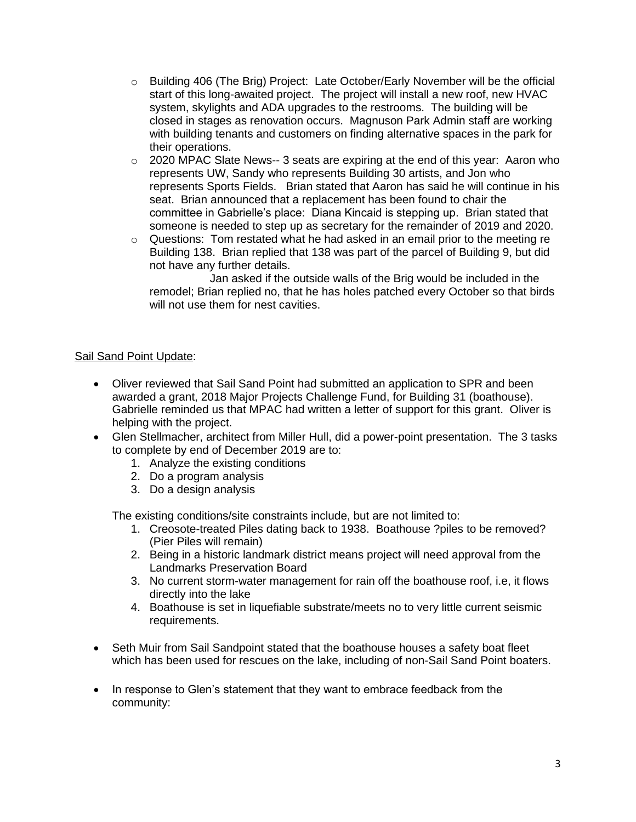- $\circ$  Building 406 (The Brig) Project: Late October/Early November will be the official start of this long-awaited project. The project will install a new roof, new HVAC system, skylights and ADA upgrades to the restrooms. The building will be closed in stages as renovation occurs. Magnuson Park Admin staff are working with building tenants and customers on finding alternative spaces in the park for their operations.
- o 2020 MPAC Slate News-- 3 seats are expiring at the end of this year: Aaron who represents UW, Sandy who represents Building 30 artists, and Jon who represents Sports Fields. Brian stated that Aaron has said he will continue in his seat. Brian announced that a replacement has been found to chair the committee in Gabrielle's place: Diana Kincaid is stepping up. Brian stated that someone is needed to step up as secretary for the remainder of 2019 and 2020.
- o Questions: Tom restated what he had asked in an email prior to the meeting re Building 138. Brian replied that 138 was part of the parcel of Building 9, but did not have any further details.

 Jan asked if the outside walls of the Brig would be included in the remodel; Brian replied no, that he has holes patched every October so that birds will not use them for nest cavities.

# Sail Sand Point Update:

- Oliver reviewed that Sail Sand Point had submitted an application to SPR and been awarded a grant, 2018 Major Projects Challenge Fund, for Building 31 (boathouse). Gabrielle reminded us that MPAC had written a letter of support for this grant. Oliver is helping with the project.
- Glen Stellmacher, architect from Miller Hull, did a power-point presentation. The 3 tasks to complete by end of December 2019 are to:
	- 1. Analyze the existing conditions
	- 2. Do a program analysis
	- 3. Do a design analysis

The existing conditions/site constraints include, but are not limited to:

- 1. Creosote-treated Piles dating back to 1938. Boathouse ?piles to be removed? (Pier Piles will remain)
- 2. Being in a historic landmark district means project will need approval from the Landmarks Preservation Board
- 3. No current storm-water management for rain off the boathouse roof, i.e, it flows directly into the lake
- 4. Boathouse is set in liquefiable substrate/meets no to very little current seismic requirements.
- Seth Muir from Sail Sandpoint stated that the boathouse houses a safety boat fleet which has been used for rescues on the lake, including of non-Sail Sand Point boaters.
- In response to Glen's statement that they want to embrace feedback from the community: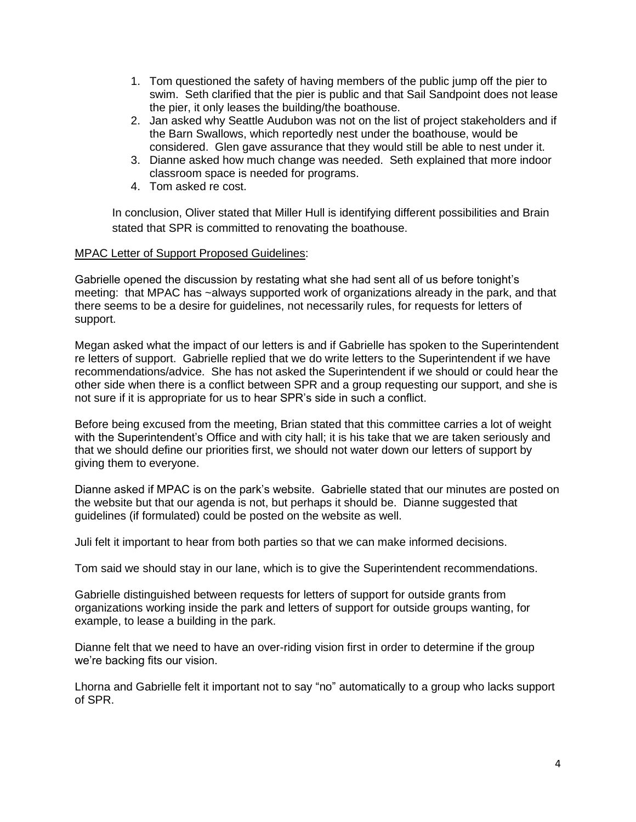- 1. Tom questioned the safety of having members of the public jump off the pier to swim. Seth clarified that the pier is public and that Sail Sandpoint does not lease the pier, it only leases the building/the boathouse.
- 2. Jan asked why Seattle Audubon was not on the list of project stakeholders and if the Barn Swallows, which reportedly nest under the boathouse, would be considered. Glen gave assurance that they would still be able to nest under it.
- 3. Dianne asked how much change was needed. Seth explained that more indoor classroom space is needed for programs.
- 4. Tom asked re cost.

In conclusion, Oliver stated that Miller Hull is identifying different possibilities and Brain stated that SPR is committed to renovating the boathouse.

# MPAC Letter of Support Proposed Guidelines:

Gabrielle opened the discussion by restating what she had sent all of us before tonight's meeting: that MPAC has ~always supported work of organizations already in the park, and that there seems to be a desire for guidelines, not necessarily rules, for requests for letters of support.

Megan asked what the impact of our letters is and if Gabrielle has spoken to the Superintendent re letters of support. Gabrielle replied that we do write letters to the Superintendent if we have recommendations/advice. She has not asked the Superintendent if we should or could hear the other side when there is a conflict between SPR and a group requesting our support, and she is not sure if it is appropriate for us to hear SPR's side in such a conflict.

Before being excused from the meeting, Brian stated that this committee carries a lot of weight with the Superintendent's Office and with city hall; it is his take that we are taken seriously and that we should define our priorities first, we should not water down our letters of support by giving them to everyone.

Dianne asked if MPAC is on the park's website. Gabrielle stated that our minutes are posted on the website but that our agenda is not, but perhaps it should be. Dianne suggested that guidelines (if formulated) could be posted on the website as well.

Juli felt it important to hear from both parties so that we can make informed decisions.

Tom said we should stay in our lane, which is to give the Superintendent recommendations.

Gabrielle distinguished between requests for letters of support for outside grants from organizations working inside the park and letters of support for outside groups wanting, for example, to lease a building in the park.

Dianne felt that we need to have an over-riding vision first in order to determine if the group we're backing fits our vision.

Lhorna and Gabrielle felt it important not to say "no" automatically to a group who lacks support of SPR.